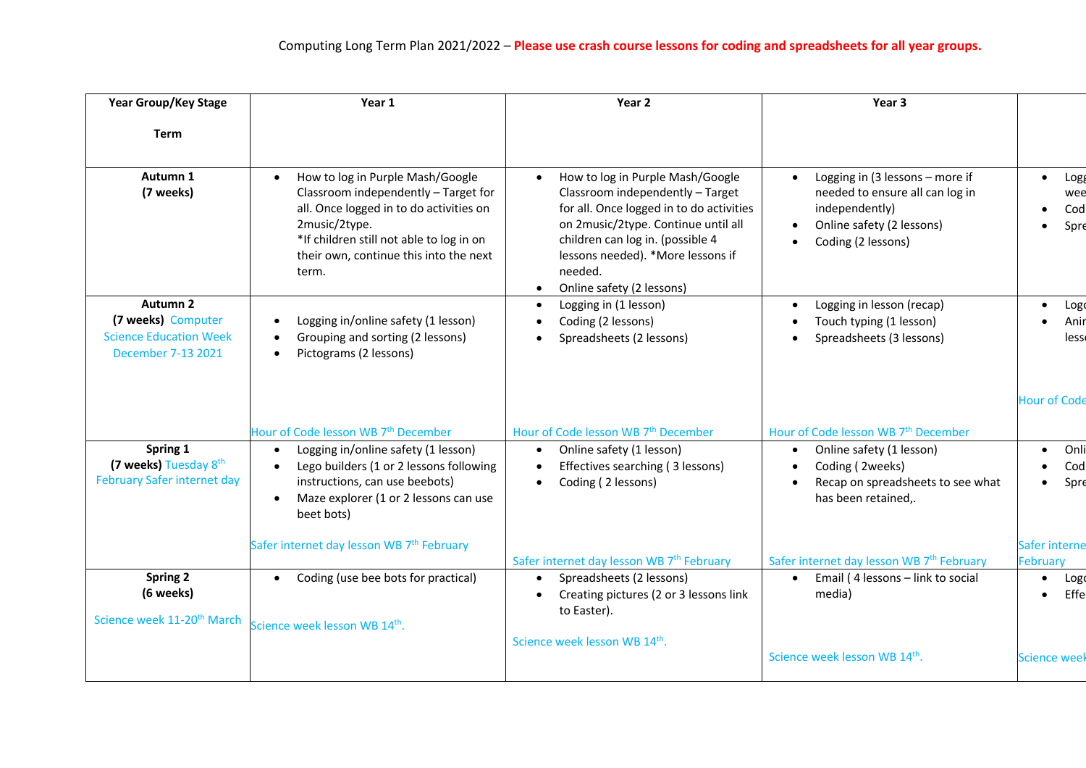| <b>Year Group/Key Stage</b>                                                                  | Year 1                                                                                                                                                                                                                                           | Year 2                                                                                                                                                                                                                                                                                             | Year 3                                                                                                                                  |                                                 |
|----------------------------------------------------------------------------------------------|--------------------------------------------------------------------------------------------------------------------------------------------------------------------------------------------------------------------------------------------------|----------------------------------------------------------------------------------------------------------------------------------------------------------------------------------------------------------------------------------------------------------------------------------------------------|-----------------------------------------------------------------------------------------------------------------------------------------|-------------------------------------------------|
| <b>Term</b>                                                                                  |                                                                                                                                                                                                                                                  |                                                                                                                                                                                                                                                                                                    |                                                                                                                                         |                                                 |
| Autumn 1<br>(7 weeks)                                                                        | How to log in Purple Mash/Google<br>$\bullet$<br>Classroom independently - Target for<br>all. Once logged in to do activities on<br>2music/2type.<br>*If children still not able to log in on<br>their own, continue this into the next<br>term. | How to log in Purple Mash/Google<br>$\bullet$<br>Classroom independently - Target<br>for all. Once logged in to do activities<br>on 2music/2type. Continue until all<br>children can log in. (possible 4<br>lessons needed). *More lessons if<br>needed.<br>Online safety (2 lessons)<br>$\bullet$ | Logging in (3 lessons - more if<br>needed to ensure all can log in<br>independently)<br>Online safety (2 lessons)<br>Coding (2 lessons) | $\bullet$ Logg<br>wee<br>Cod<br>Spre            |
| <b>Autumn 2</b><br>(7 weeks) Computer<br><b>Science Education Week</b><br>December 7-13 2021 | Logging in/online safety (1 lesson)<br>Grouping and sorting (2 lessons)<br>Pictograms (2 lessons)                                                                                                                                                | Logging in (1 lesson)<br>Coding (2 lessons)<br>Spreadsheets (2 lessons)                                                                                                                                                                                                                            | Logging in lesson (recap)<br>Touch typing (1 lesson)<br>Spreadsheets (3 lessons)                                                        | $\bullet$ Logo<br>Anir<br>$\bullet$<br>less     |
|                                                                                              | Hour of Code lesson WB 7 <sup>th</sup> December                                                                                                                                                                                                  | Hour of Code lesson WB 7 <sup>th</sup> December                                                                                                                                                                                                                                                    | Hour of Code lesson WB 7 <sup>th</sup> December                                                                                         | Hour of Code                                    |
| Spring 1<br>(7 weeks) Tuesday 8th<br>February Safer internet day                             | Logging in/online safety (1 lesson)<br>Lego builders (1 or 2 lessons following<br>instructions, can use beebots)<br>Maze explorer (1 or 2 lessons can use<br>$\bullet$<br>beet bots)                                                             | Online safety (1 lesson)<br>$\bullet$<br>Effectives searching (3 lessons)<br>$\bullet$<br>• Coding (2 lessons)                                                                                                                                                                                     | Online safety (1 lesson)<br>Coding (2weeks)<br>Recap on spreadsheets to see what<br>has been retained,.                                 | • Onli<br>Cod<br>$\bullet$<br>Spre<br>$\bullet$ |
|                                                                                              | Safer internet day lesson WB 7 <sup>th</sup> February                                                                                                                                                                                            | Safer internet day lesson WB 7 <sup>th</sup> February                                                                                                                                                                                                                                              | Safer internet day lesson WB 7 <sup>th</sup> February                                                                                   | Safer interne<br><b>February</b>                |
| Spring 2<br>(6 weeks)<br>Science week 11-20 <sup>th</sup> March                              | • Coding (use bee bots for practical)<br>Science week lesson WB 14th.                                                                                                                                                                            | Spreadsheets (2 lessons)<br>Creating pictures (2 or 3 lessons link<br>$\bullet$<br>to Easter).                                                                                                                                                                                                     | Email (4 lessons - link to social<br>$\bullet$<br>media)                                                                                | $\bullet$ Logo<br>$\bullet$ Effe                |
|                                                                                              |                                                                                                                                                                                                                                                  | Science week lesson WB 14th.                                                                                                                                                                                                                                                                       | Science week lesson WB 14th.                                                                                                            | Science week                                    |